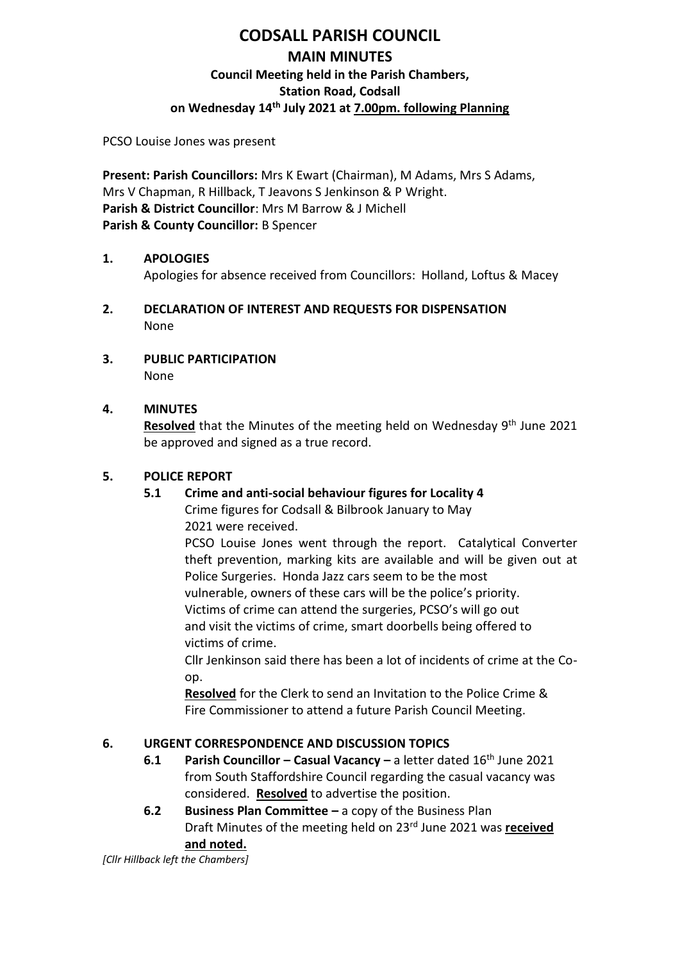# **CODSALL PARISH COUNCIL MAIN MINUTES Council Meeting held in the Parish Chambers, Station Road, Codsall on Wednesday 14th July 2021 at 7.00pm. following Planning**

PCSO Louise Jones was present

**Present: Parish Councillors:** Mrs K Ewart (Chairman), M Adams, Mrs S Adams, Mrs V Chapman, R Hillback, T Jeavons S Jenkinson & P Wright. **Parish & District Councillor**: Mrs M Barrow & J Michell **Parish & County Councillor:** B Spencer

### **1. APOLOGIES**

Apologies for absence received from Councillors: Holland, Loftus & Macey

- **2. DECLARATION OF INTEREST AND REQUESTS FOR DISPENSATION** None
- **3. PUBLIC PARTICIPATION** None

## **4. MINUTES**

Resolved that the Minutes of the meeting held on Wednesday 9<sup>th</sup> June 2021 be approved and signed as a true record.

## **5. POLICE REPORT**

## **5.1 Crime and anti-social behaviour figures for Locality 4**

Crime figures for Codsall & Bilbrook January to May 2021 were received.

PCSO Louise Jones went through the report. Catalytical Converter theft prevention, marking kits are available and will be given out at Police Surgeries. Honda Jazz cars seem to be the most vulnerable, owners of these cars will be the police's priority.

Victims of crime can attend the surgeries, PCSO's will go out and visit the victims of crime, smart doorbells being offered to victims of crime.

Cllr Jenkinson said there has been a lot of incidents of crime at the Coop.

**Resolved** for the Clerk to send an Invitation to the Police Crime & Fire Commissioner to attend a future Parish Council Meeting.

## **6. URGENT CORRESPONDENCE AND DISCUSSION TOPICS**

- **6.1 Parish Councillor – Casual Vacancy –** a letter dated 16th June 2021 from South Staffordshire Council regarding the casual vacancy was considered. **Resolved** to advertise the position.
- **6.2 Business Plan Committee –** a copy of the Business Plan Draft Minutes of the meeting held on 23rd June 2021 was **received and noted.**

*[Cllr Hillback left the Chambers]*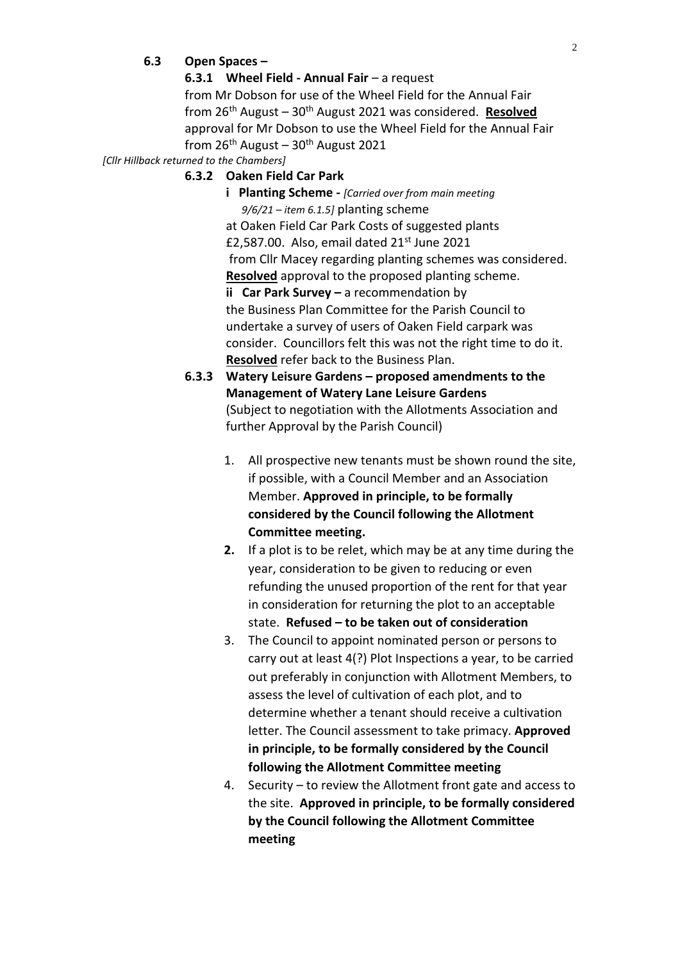#### **6.3 Open Spaces –**

**6.3.1 Wheel Field - Annual Fair** – a request

from Mr Dobson for use of the Wheel Field for the Annual Fair from 26th August – 30th August 2021 was considered. **Resolved** approval for Mr Dobson to use the Wheel Field for the Annual Fair from  $26<sup>th</sup>$  August –  $30<sup>th</sup>$  August 2021

*[Cllr Hillback returned to the Chambers]*

#### **6.3.2 Oaken Field Car Park**

- **i Planting Scheme -** *[Carried over from main meeting 9/6/21 – item 6.1.5]* planting scheme at Oaken Field Car Park Costs of suggested plants £2,587.00. Also, email dated  $21<sup>st</sup>$  June 2021 from Cllr Macey regarding planting schemes was considered. **Resolved** approval to the proposed planting scheme. **ii** Car Park Survey – a recommendation by the Business Plan Committee for the Parish Council to undertake a survey of users of Oaken Field carpark was consider. Councillors felt this was not the right time to do it. **Resolved** refer back to the Business Plan.
- **6.3.3 Watery Leisure Gardens – proposed amendments to the Management of Watery Lane Leisure Gardens** (Subject to negotiation with the Allotments Association and further Approval by the Parish Council)
	- 1. All prospective new tenants must be shown round the site, if possible, with a Council Member and an Association Member. **Approved in principle, to be formally considered by the Council following the Allotment Committee meeting.**
	- **2.** If a plot is to be relet, which may be at any time during the year, consideration to be given to reducing or even refunding the unused proportion of the rent for that year in consideration for returning the plot to an acceptable state. **Refused – to be taken out of consideration**
	- 3. The Council to appoint nominated person or persons to carry out at least 4(?) Plot Inspections a year, to be carried out preferably in conjunction with Allotment Members, to assess the level of cultivation of each plot, and to determine whether a tenant should receive a cultivation letter. The Council assessment to take primacy. **Approved in principle, to be formally considered by the Council following the Allotment Committee meeting**
	- 4. Security to review the Allotment front gate and access to the site. **Approved in principle, to be formally considered by the Council following the Allotment Committee meeting**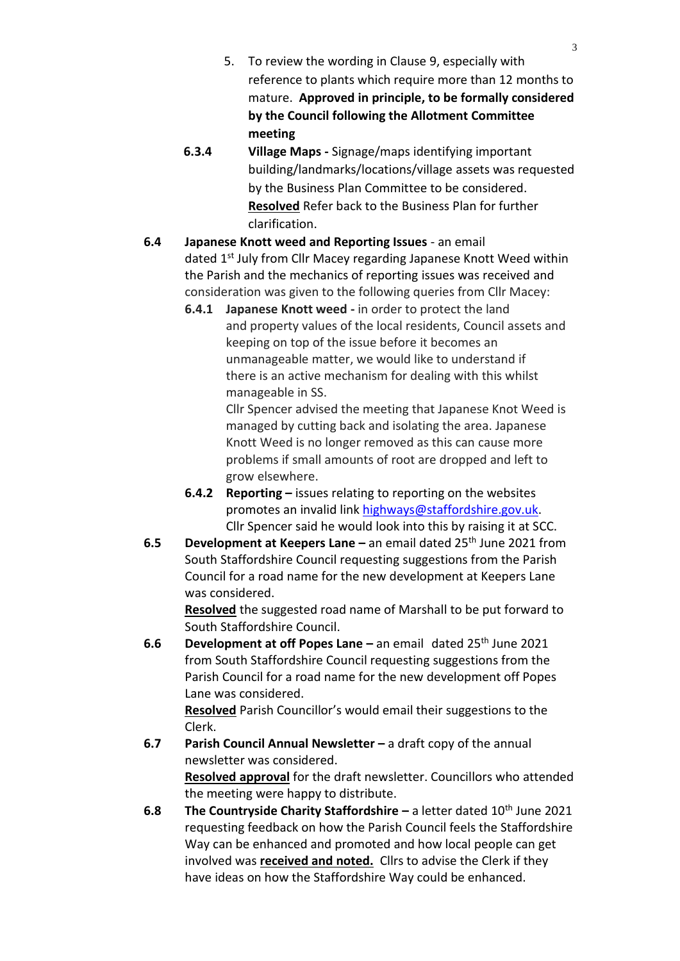- 5. To review the wording in Clause 9, especially with reference to plants which require more than 12 months to mature. **Approved in principle, to be formally considered by the Council following the Allotment Committee meeting**
- **6.3.4 Village Maps -** Signage/maps identifying important building/landmarks/locations/village assets was requested by the Business Plan Committee to be considered. **Resolved** Refer back to the Business Plan for further clarification.
- **6.4 Japanese Knott weed and Reporting Issues**  an email dated 1<sup>st</sup> July from Cllr Macey regarding Japanese Knott Weed within the Parish and the mechanics of reporting issues was received and consideration was given to the following queries from Cllr Macey:
	- **6.4.1 Japanese Knott weed -** in order to protect the land and property values of the local residents, Council assets and keeping on top of the issue before it becomes an unmanageable matter, we would like to understand if there is an active mechanism for dealing with this whilst manageable in SS.

Cllr Spencer advised the meeting that Japanese Knot Weed is managed by cutting back and isolating the area. Japanese Knott Weed is no longer removed as this can cause more problems if small amounts of root are dropped and left to grow elsewhere.

- **6.4.2 Reporting –** issues relating to reporting on the websites promotes an invalid link [highways@staffordshire.gov.uk.](mailto:highways@staffordshire.gov.uk) Cllr Spencer said he would look into this by raising it at SCC.
- **6.5 Development at Keepers Lane –** an email dated 25th June 2021 from South Staffordshire Council requesting suggestions from the Parish Council for a road name for the new development at Keepers Lane was considered.

**Resolved** the suggested road name of Marshall to be put forward to South Staffordshire Council.

**6.6 Development at off Popes Lane –** an email dated 25<sup>th</sup> June 2021 from South Staffordshire Council requesting suggestions from the Parish Council for a road name for the new development off Popes Lane was considered.

**Resolved** Parish Councillor's would email their suggestions to the Clerk.

- **6.7 Parish Council Annual Newsletter –** a draft copy of the annual newsletter was considered. **Resolved approval** for the draft newsletter. Councillors who attended the meeting were happy to distribute.
- **6.8** The Countryside Charity Staffordshire a letter dated 10<sup>th</sup> June 2021 requesting feedback on how the Parish Council feels the Staffordshire Way can be enhanced and promoted and how local people can get involved was **received and noted.** Cllrs to advise the Clerk if they have ideas on how the Staffordshire Way could be enhanced.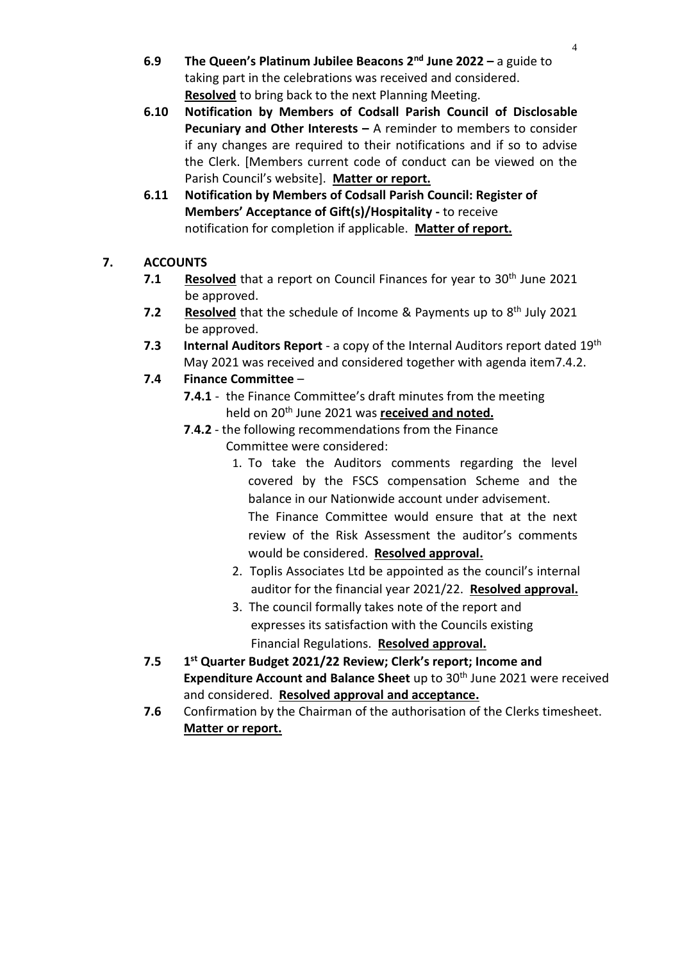- **6.9 The Queen's Platinum Jubilee Beacons 2nd June 2022 –** a guide to taking part in the celebrations was received and considered. **Resolved** to bring back to the next Planning Meeting.
- **6.10 Notification by Members of Codsall Parish Council of Disclosable Pecuniary and Other Interests –** A reminder to members to consider if any changes are required to their notifications and if so to advise the Clerk. [Members current code of conduct can be viewed on the Parish Council's website]. **Matter or report.**
- **6.11 Notification by Members of Codsall Parish Council: Register of Members' Acceptance of Gift(s)/Hospitality -** to receive notification for completion if applicable. **Matter of report.**

# **7. ACCOUNTS**

- **7.1 Resolved** that a report on Council Finances for year to 30<sup>th</sup> June 2021 be approved.
- **7.2** Resolved that the schedule of Income & Payments up to 8<sup>th</sup> July 2021 be approved.
- **7.3 Internal Auditors Report**  a copy of the Internal Auditors report dated 19th May 2021 was received and considered together with agenda item7.4.2.

# **7.4 Finance Committee** –

- **7.4.1** the Finance Committee's draft minutes from the meeting held on 20th June 2021 was **received and noted.**
- **7**.**4.2** the following recommendations from the Finance Committee were considered:
	- 1. To take the Auditors comments regarding the level covered by the FSCS compensation Scheme and the balance in our Nationwide account under advisement. The Finance Committee would ensure that at the next review of the Risk Assessment the auditor's comments would be considered. **Resolved approval.**
	- 2. Toplis Associates Ltd be appointed as the council's internal auditor for the financial year 2021/22. **Resolved approval.**
	- 3. The council formally takes note of the report and expresses its satisfaction with the Councils existing Financial Regulations. **Resolved approval.**
- **7.5 1 st Quarter Budget 2021/22 Review; Clerk's report; Income and Expenditure Account and Balance Sheet** up to 30<sup>th</sup> June 2021 were received and considered. **Resolved approval and acceptance.**
- **7.6** Confirmation by the Chairman of the authorisation of the Clerks timesheet. **Matter or report.**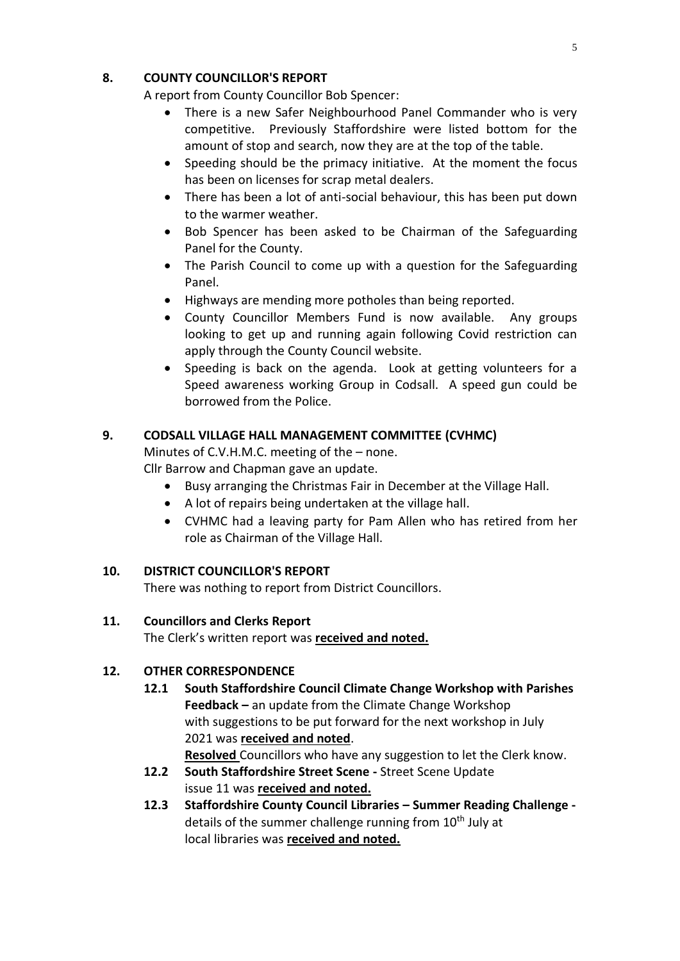## **8. COUNTY COUNCILLOR'S REPORT**

A report from County Councillor Bob Spencer:

- There is a new Safer Neighbourhood Panel Commander who is very competitive. Previously Staffordshire were listed bottom for the amount of stop and search, now they are at the top of the table.
- Speeding should be the primacy initiative. At the moment the focus has been on licenses for scrap metal dealers.
- There has been a lot of anti-social behaviour, this has been put down to the warmer weather.
- Bob Spencer has been asked to be Chairman of the Safeguarding Panel for the County.
- The Parish Council to come up with a question for the Safeguarding Panel.
- Highways are mending more potholes than being reported.
- County Councillor Members Fund is now available. Any groups looking to get up and running again following Covid restriction can apply through the County Council website.
- Speeding is back on the agenda. Look at getting volunteers for a Speed awareness working Group in Codsall. A speed gun could be borrowed from the Police.

# **9. CODSALL VILLAGE HALL MANAGEMENT COMMITTEE (CVHMC)**

Minutes of C.V.H.M.C. meeting of the – none.

Cllr Barrow and Chapman gave an update.

- Busy arranging the Christmas Fair in December at the Village Hall.
- A lot of repairs being undertaken at the village hall.
- CVHMC had a leaving party for Pam Allen who has retired from her role as Chairman of the Village Hall.

## **10. DISTRICT COUNCILLOR'S REPORT**

There was nothing to report from District Councillors.

## **11. Councillors and Clerks Report**

The Clerk's written report was **received and noted.**

## **12. OTHER CORRESPONDENCE**

**12.1 South Staffordshire Council Climate Change Workshop with Parishes Feedback –** an update from the Climate Change Workshop with suggestions to be put forward for the next workshop in July 2021 was **received and noted**.

**Resolved** Councillors who have any suggestion to let the Clerk know.

- **12.2 South Staffordshire Street Scene -** Street Scene Update issue 11 was **received and noted.**
- **12.3 Staffordshire County Council Libraries – Summer Reading Challenge**  details of the summer challenge running from  $10<sup>th</sup>$  July at local libraries was **received and noted.**